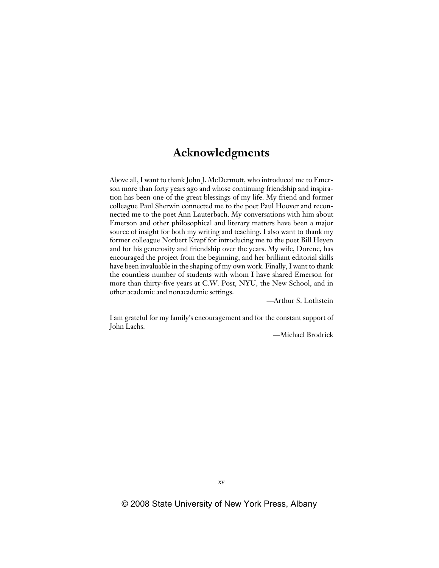## **Acknowledgments**

Above all, I want to thank John J. McDermott, who introduced me to Emerson more than forty years ago and whose continuing friendship and inspiration has been one of the great blessings of my life. My friend and former colleague Paul Sherwin connected me to the poet Paul Hoover and reconnected me to the poet Ann Lauterbach. My conversations with him about Emerson and other philosophical and literary matters have been a major source of insight for both my writing and teaching. I also want to thank my former colleague Norbert Krapf for introducing me to the poet Bill Heyen and for his generosity and friendship over the years. My wife, Dorene, has encouraged the project from the beginning, and her brilliant editorial skills have been invaluable in the shaping of my own work. Finally, I want to thank the countless number of students with whom I have shared Emerson for more than thirty-five years at C.W. Post, NYU, the New School, and in other academic and nonacademic settings.

—Arthur S. Lothstein

I am grateful for my family's encouragement and for the constant support of John Lachs.

—Michael Brodrick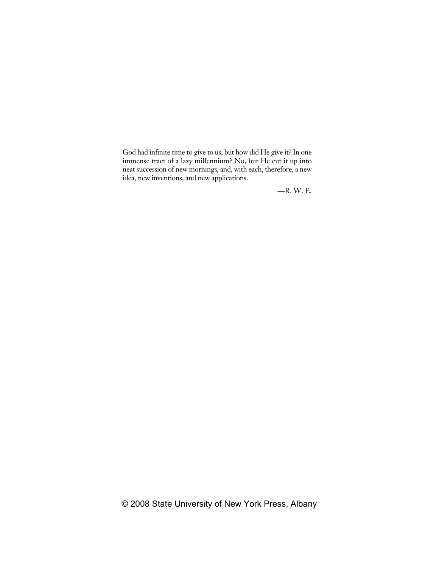God had infinite time to give to us; but how did He give it? In one immense tract of a lazy millennium? No, but He cut it up into neat succession of new mornings, and, with each, therefore, a new idea, new inventions, and new applications.

—R. W. E.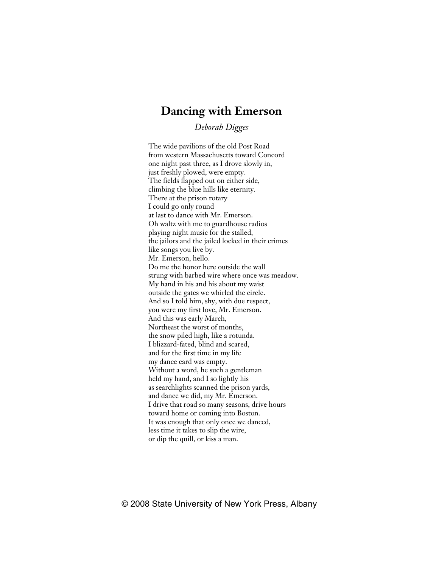# **Dancing with Emerson**

*Deborah Digges*

The wide pavilions of the old Post Road from western Massachusetts toward Concord one night past three, as I drove slowly in, just freshly plowed, were empty. The fields flapped out on either side, climbing the blue hills like eternity. There at the prison rotary I could go only round at last to dance with Mr. Emerson. Oh waltz with me to guardhouse radios playing night music for the stalled, the jailors and the jailed locked in their crimes like songs you live by. Mr. Emerson, hello. Do me the honor here outside the wall strung with barbed wire where once was meadow. My hand in his and his about my waist outside the gates we whirled the circle. And so I told him, shy, with due respect, you were my first love, Mr. Emerson. And this was early March, Northeast the worst of months, the snow piled high, like a rotunda. I blizzard-fated, blind and scared, and for the first time in my life my dance card was empty. Without a word, he such a gentleman held my hand, and I so lightly his as searchlights scanned the prison yards, and dance we did, my Mr. Emerson. I drive that road so many seasons, drive hours toward home or coming into Boston. It was enough that only once we danced, less time it takes to slip the wire, or dip the quill, or kiss a man.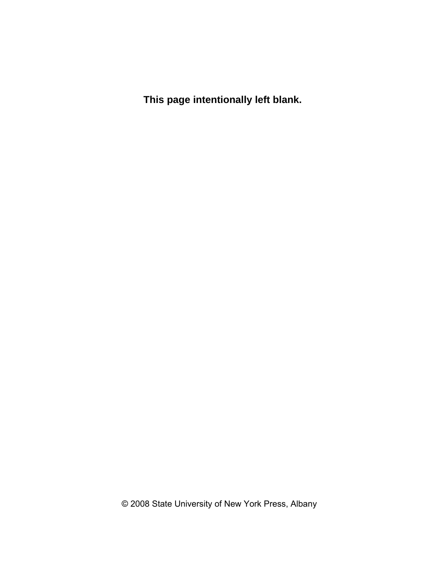**This page intentionally left blank.**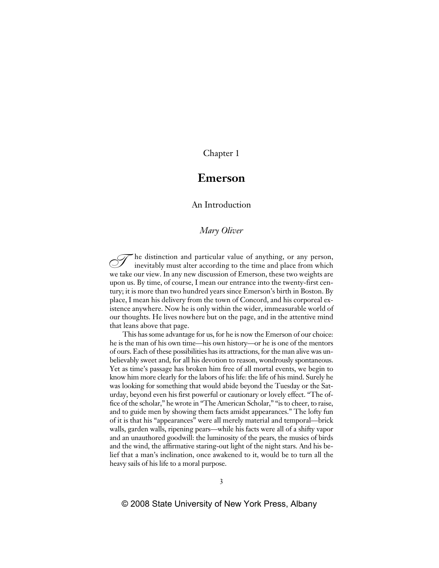Chapter 1

## **Emerson**

### An Introduction

#### *Mary Oliver*

The distinction and particular value of anything, or any person,<br>inevitably must alter according to the time and place from which<br>we take any view In any new discussion of Emergen, these two weights are we take our view. In any new discussion of Emerson, these two weights are upon us. By time, of course, I mean our entrance into the twenty-first century; it is more than two hundred years since Emerson's birth in Boston. By place, I mean his delivery from the town of Concord, and his corporeal existence anywhere. Now he is only within the wider, immeasurable world of our thoughts. He lives nowhere but on the page, and in the attentive mind that leans above that page.

This has some advantage for us, for he is now the Emerson of our choice: he is the man of his own time—his own history—or he is one of the mentors of ours. Each of these possibilities has its attractions, for the man alive was unbelievably sweet and, for all his devotion to reason, wondrously spontaneous. Yet as time's passage has broken him free of all mortal events, we begin to know him more clearly for the labors of his life: the life of his mind. Surely he was looking for something that would abide beyond the Tuesday or the Saturday, beyond even his first powerful or cautionary or lovely effect. "The office of the scholar," he wrote in "The American Scholar," "is to cheer, to raise, and to guide men by showing them facts amidst appearances." The lofty fun of it is that his "appearances" were all merely material and temporal—brick walls, garden walls, ripening pears—while his facts were all of a shifty vapor and an unauthored goodwill: the luminosity of the pears, the musics of birds and the wind, the affirmative staring-out light of the night stars. And his belief that a man's inclination, once awakened to it, would be to turn all the heavy sails of his life to a moral purpose.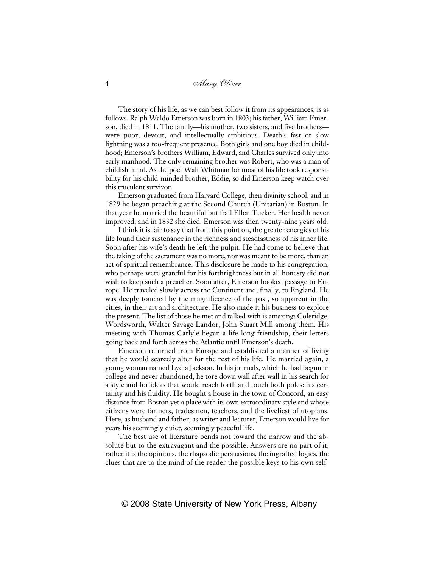#### 4 Mary Oliver

The story of his life, as we can best follow it from its appearances, is as follows. Ralph Waldo Emerson was born in 1803; his father, William Emerson, died in 1811. The family—his mother, two sisters, and five brothers were poor, devout, and intellectually ambitious. Death's fast or slow lightning was a too-frequent presence. Both girls and one boy died in childhood; Emerson's brothers William, Edward, and Charles survived only into early manhood. The only remaining brother was Robert, who was a man of childish mind. As the poet Walt Whitman for most of his life took responsibility for his child-minded brother, Eddie, so did Emerson keep watch over this truculent survivor.

Emerson graduated from Harvard College, then divinity school, and in 1829 he began preaching at the Second Church (Unitarian) in Boston. In that year he married the beautiful but frail Ellen Tucker. Her health never improved, and in 1832 she died. Emerson was then twenty-nine years old.

I think it is fair to say that from this point on, the greater energies of his life found their sustenance in the richness and steadfastness of his inner life. Soon after his wife's death he left the pulpit. He had come to believe that the taking of the sacrament was no more, nor was meant to be more, than an act of spiritual remembrance. This disclosure he made to his congregation, who perhaps were grateful for his forthrightness but in all honesty did not wish to keep such a preacher. Soon after, Emerson booked passage to Europe. He traveled slowly across the Continent and, finally, to England. He was deeply touched by the magnificence of the past, so apparent in the cities, in their art and architecture. He also made it his business to explore the present. The list of those he met and talked with is amazing: Coleridge, Wordsworth, Walter Savage Landor, John Stuart Mill among them. His meeting with Thomas Carlyle began a life-long friendship, their letters going back and forth across the Atlantic until Emerson's death.

Emerson returned from Europe and established a manner of living that he would scarcely alter for the rest of his life. He married again, a young woman named Lydia Jackson. In his journals, which he had begun in college and never abandoned, he tore down wall after wall in his search for a style and for ideas that would reach forth and touch both poles: his certainty and his fluidity. He bought a house in the town of Concord, an easy distance from Boston yet a place with its own extraordinary style and whose citizens were farmers, tradesmen, teachers, and the liveliest of utopians. Here, as husband and father, as writer and lecturer, Emerson would live for years his seemingly quiet, seemingly peaceful life.

The best use of literature bends not toward the narrow and the absolute but to the extravagant and the possible. Answers are no part of it; rather it is the opinions, the rhapsodic persuasions, the ingrafted logics, the clues that are to the mind of the reader the possible keys to his own self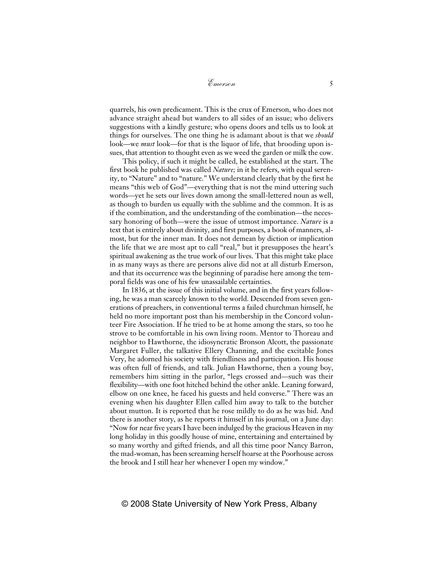quarrels, his own predicament. This is the crux of Emerson, who does not advance straight ahead but wanders to all sides of an issue; who delivers suggestions with a kindly gesture; who opens doors and tells us to look at things for ourselves. The one thing he is adamant about is that we *should* look—we *must* look—for that is the liquor of life, that brooding upon issues, that attention to thought even as we weed the garden or milk the cow.

This policy, if such it might be called, he established at the start. The first book he published was called *Nature;* in it he refers, with equal serenity, to "Nature" and to "nature." We understand clearly that by the first he means "this web of God"—everything that is not the mind uttering such words—yet he sets our lives down among the small-lettered noun as well, as though to burden us equally with the sublime and the common. It is as if the combination, and the understanding of the combination—the necessary honoring of both—were the issue of utmost importance. *Nature* is a text that is entirely about divinity, and first purposes, a book of manners, almost, but for the inner man. It does not demean by diction or implication the life that we are most apt to call "real," but it presupposes the heart's spiritual awakening as the true work of our lives. That this might take place in as many ways as there are persons alive did not at all disturb Emerson, and that its occurrence was the beginning of paradise here among the temporal fields was one of his few unassailable certainties.

In 1836, at the issue of this initial volume, and in the first years following, he was a man scarcely known to the world. Descended from seven generations of preachers, in conventional terms a failed churchman himself, he held no more important post than his membership in the Concord volunteer Fire Association. If he tried to be at home among the stars, so too he strove to be comfortable in his own living room. Mentor to Thoreau and neighbor to Hawthorne, the idiosyncratic Bronson Alcott, the passionate Margaret Fuller, the talkative Ellery Channing, and the excitable Jones Very, he adorned his society with friendliness and participation. His house was often full of friends, and talk. Julian Hawthorne, then a young boy, remembers him sitting in the parlor, "legs crossed and—such was their flexibility—with one foot hitched behind the other ankle. Leaning forward, elbow on one knee, he faced his guests and held converse." There was an evening when his daughter Ellen called him away to talk to the butcher about mutton. It is reported that he rose mildly to do as he was bid. And there is another story, as he reports it himself in his journal, on a June day: "Now for near five years I have been indulged by the gracious Heaven in my long holiday in this goodly house of mine, entertaining and entertained by so many worthy and gifted friends, and all this time poor Nancy Barron, the mad-woman, has been screaming herself hoarse at the Poorhouse across the brook and I still hear her whenever I open my window."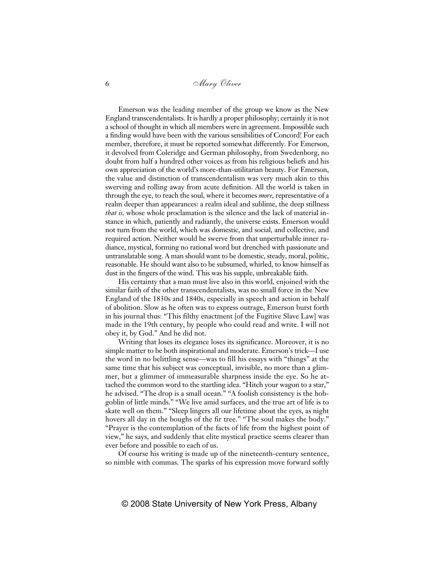#### 6 Mary Oliver

Emerson was the leading member of the group we know as the New England transcendentalists. It is hardly a proper philosophy; certainly it is not a school of thought in which all members were in agreement. Impossible such a finding would have been with the various sensibilities of Concord! For each member, therefore, it must be reported somewhat differently. For Emerson, it devolved from Coleridge and German philosophy, from Swedenborg, no doubt from half a hundred other voices as from his religious beliefs and his own appreciation of the world's more-than-utilitarian beauty. For Emerson, the value and distinction of transcendentalism was very much akin to this swerving and rolling away from acute definition. All the world is taken in through the eye, to reach the soul, where it becomes *more,* representative of a realm deeper than appearances: a realm ideal and sublime, the deep stillness *that is,* whose whole proclamation is the silence and the lack of material instance in which, patiently and radiantly, the universe exists. Emerson would not turn from the world, which was domestic, and social, and collective, and required action. Neither would he swerve from that unperturbable inner radiance, mystical, forming no rational word but drenched with passionate and untranslatable song. A man should want to be domestic, steady, moral, politic, reasonable. He should want also to be subsumed, whirled, to know himself as dust in the fingers of the wind. This was his supple, unbreakable faith.

His certainty that a man must live also in this world, enjoined with the similar faith of the other transcendentalists, was no small force in the New England of the 1830s and 1840s, especially in speech and action in behalf of abolition. Slow as he often was to express outrage, Emerson burst forth in his journal thus: "This filthy enactment [of the Fugitive Slave Law] was made in the 19th century, by people who could read and write. I will not obey it, by God." And he did not.

Writing that loses its elegance loses its significance. Moreover, it is no simple matter to be both inspirational and moderate. Emerson's trick—I use the word in no belittling sense—was to fill his essays with "things" at the same time that his subject was conceptual, invisible, no more than a glimmer, but a glimmer of immeasurable sharpness inside the eye. So he attached the common word to the startling idea. "Hitch your wagon to a star," he advised. "The drop is a small ocean." "A foolish consistency is the hobgoblin of little minds." "We live amid surfaces, and the true art of life is to skate well on them." "Sleep lingers all our lifetime about the eyes, as night hovers all day in the boughs of the fir tree." "The soul makes the body." "Prayer is the contemplation of the facts of life from the highest point of view," he says, and suddenly that elite mystical practice seems clearer than ever before and possible to each of us.

Of course his writing is made up of the nineteenth-century sentence, so nimble with commas. The sparks of his expression move forward softly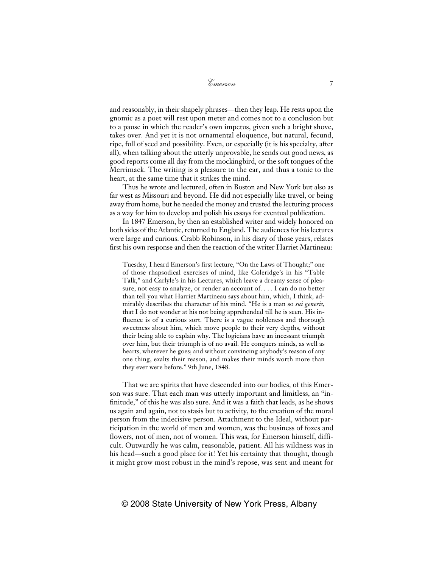and reasonably, in their shapely phrases—then they leap. He rests upon the gnomic as a poet will rest upon meter and comes not to a conclusion but to a pause in which the reader's own impetus, given such a bright shove, takes over. And yet it is not ornamental eloquence, but natural, fecund, ripe, full of seed and possibility. Even, or especially (it is his specialty, after all), when talking about the utterly unprovable, he sends out good news, as good reports come all day from the mockingbird, or the soft tongues of the Merrimack. The writing is a pleasure to the ear, and thus a tonic to the heart, at the same time that it strikes the mind.

Thus he wrote and lectured, often in Boston and New York but also as far west as Missouri and beyond. He did not especially like travel, or being away from home, but he needed the money and trusted the lecturing process as a way for him to develop and polish his essays for eventual publication.

In 1847 Emerson, by then an established writer and widely honored on both sides of the Atlantic, returned to England. The audiences for his lectures were large and curious. Crabb Robinson, in his diary of those years, relates first his own response and then the reaction of the writer Harriet Martineau:

Tuesday, I heard Emerson's first lecture, "On the Laws of Thought;" one of those rhapsodical exercises of mind, like Coleridge's in his "Table Talk," and Carlyle's in his Lectures, which leave a dreamy sense of pleasure, not easy to analyze, or render an account of. . . . I can do no better than tell you what Harriet Martineau says about him, which, I think, admirably describes the character of his mind. "He is a man so *sui generis,* that I do not wonder at his not being apprehended till he is seen. His influence is of a curious sort. There is a vague nobleness and thorough sweetness about him, which move people to their very depths, without their being able to explain why. The logicians have an incessant triumph over him, but their triumph is of no avail. He conquers minds, as well as hearts, wherever he goes; and without convincing anybody's reason of any one thing, exalts their reason, and makes their minds worth more than they ever were before." 9th June, 1848.

That we are spirits that have descended into our bodies, of this Emerson was sure. That each man was utterly important and limitless, an "infinitude," of this he was also sure. And it was a faith that leads, as he shows us again and again, not to stasis but to activity, to the creation of the moral person from the indecisive person. Attachment to the Ideal, without participation in the world of men and women, was the business of foxes and flowers, not of men, not of women. This was, for Emerson himself, difficult. Outwardly he was calm, reasonable, patient. All his wildness was in his head—such a good place for it! Yet his certainty that thought, though it might grow most robust in the mind's repose, was sent and meant for